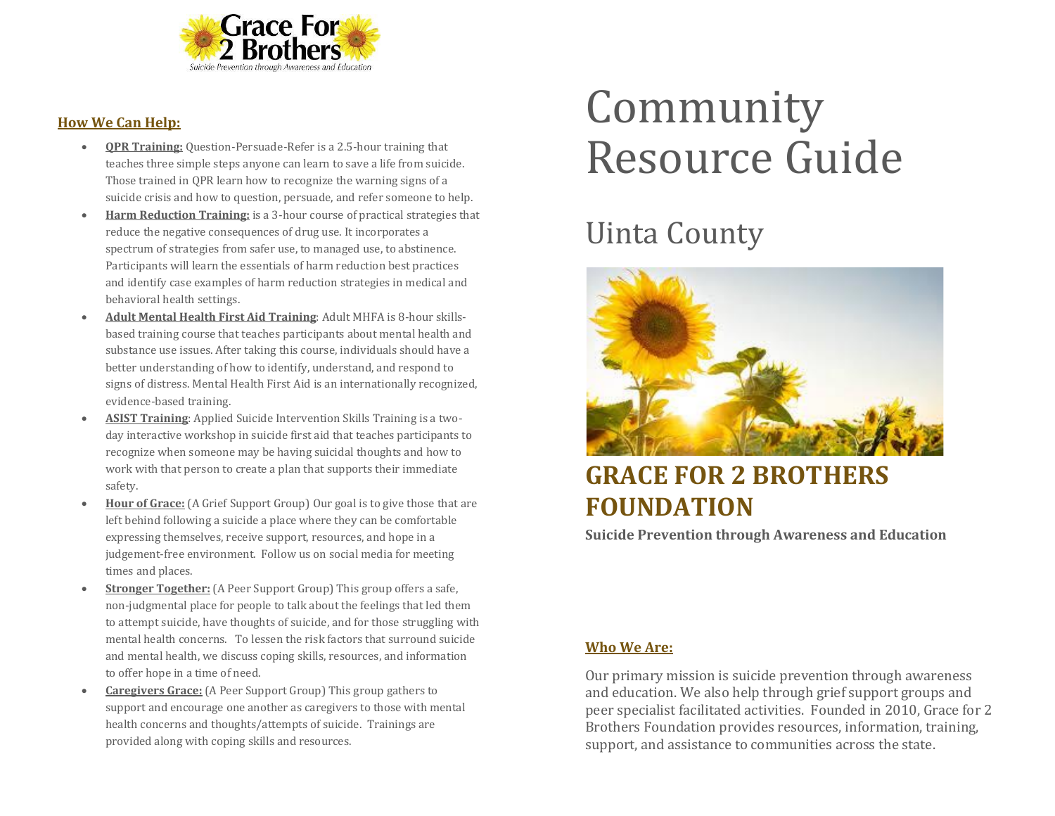

#### **How We Can Help:**

- **QPR Training:** Question-Persuade-Refer is a 2.5-hour training that teaches three simple steps anyone can learn to save a life from suicide. Those trained in QPR learn how to recognize the warning signs of a suicide crisis and how to question, persuade, and refer someone to help.
- **Harm Reduction Training:** is a 3-hour course of practical strategies that reduce the negative consequences of drug use. It incorporates a spectrum of strategies from safer use, to managed use, to abstinence. Participants will learn the essentials of harm reduction best practices and identify case examples of harm reduction strategies in medical and behavioral health settings.
- **Adult Mental Health First Aid Training**: Adult MHFA is 8-hour skillsbased training course that teaches participants about mental health and substance use issues. After taking this course, individuals should have a better understanding of how to identify, understand, and respond to signs of distress. Mental Health First Aid is an internationally recognized, evidence-based training.
- **ASIST Training**: Applied Suicide Intervention Skills Training is a twoday interactive workshop in suicide first aid that teaches participants to recognize when someone may be having suicidal thoughts and how to work with that person to create a plan that supports their immediate safety.
- **Hour of Grace:** (A Grief Support Group) Our goal is to give those that are left behind following a suicide a place where they can be comfortable expressing themselves, receive support, resources, and hope in a judgement-free environment. Follow us on social media for meeting times and places.
- **Stronger Together:** (A Peer Support Group) This group offers a safe, non-judgmental place for people to talk about the feelings that led them to attempt suicide, have thoughts of suicide, and for those struggling with mental health concerns. To lessen the risk factors that surround suicide and mental health, we discuss coping skills, resources, and information to offer hope in a time of need.
- **Caregivers Grace:** (A Peer Support Group) This group gathers to support and encourage one another as caregivers to those with mental health concerns and thoughts/attempts of suicide. Trainings are provided along with coping skills and resources.

# Community Resource Guide

## Uinta County



### **GRACE FOR 2 BROTHERS FOUNDATION**

**Suicide Prevention through Awareness and Education**

#### **Who We Are:**

Our primary mission is suicide prevention through awareness and education. We also help through grief support groups and peer specialist facilitated activities. Founded in 2010, Grace for 2 Brothers Foundation provides resources, information, training, support, and assistance to communities across the state.